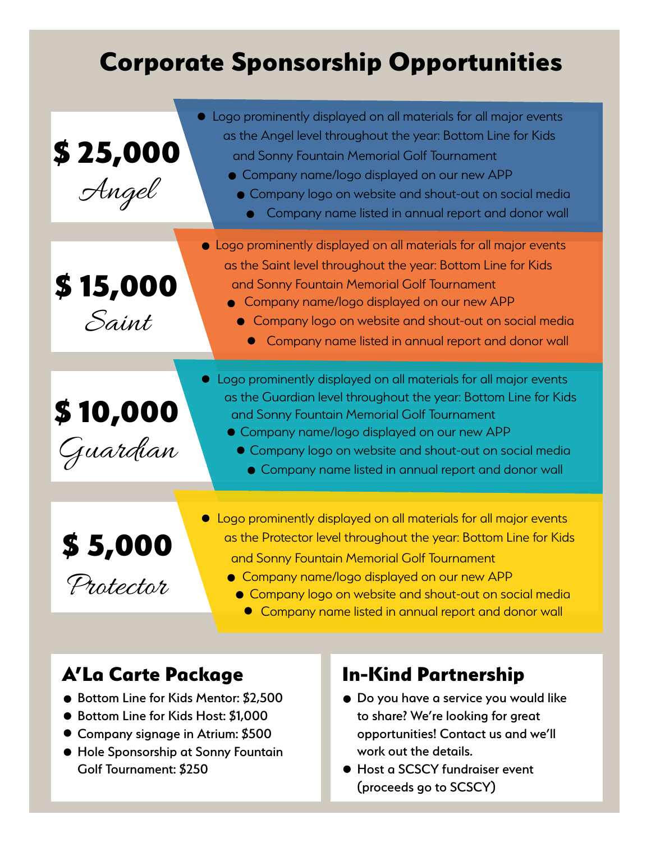# Corporate Sponsorship Opportunities

| \$25,000<br>Angel     | • Logo prominently displayed on all materials for all major events<br>as the Angel level throughout the year: Bottom Line for Kids<br>and Sonny Fountain Memorial Golf Tournament<br>• Company name/logo displayed on our new APP<br>• Company logo on website and shout-out on social media<br>Company name listed in annual report and donor wall |
|-----------------------|-----------------------------------------------------------------------------------------------------------------------------------------------------------------------------------------------------------------------------------------------------------------------------------------------------------------------------------------------------|
|                       | • Logo prominently displayed on all materials for all major events                                                                                                                                                                                                                                                                                  |
| \$15,000<br>Saint     | as the Saint level throughout the year: Bottom Line for Kids<br>and Sonny Fountain Memorial Golf Tournament<br>Company name/logo displayed on our new APP<br>• Company logo on website and shout-out on social media<br>Company name listed in annual report and donor wall                                                                         |
|                       | • Logo prominently displayed on all materials for all major events<br>as the Guardian level throughout the year: Bottom Line for Kids                                                                                                                                                                                                               |
| \$10,000              | and Sonny Fountain Memorial Golf Tournament<br>• Company name/logo displayed on our new APP                                                                                                                                                                                                                                                         |
| juardian              | • Company logo on website and shout-out on social media<br>• Company name listed in annual report and donor wall                                                                                                                                                                                                                                    |
|                       | • Logo prominently displayed on all materials for all major events                                                                                                                                                                                                                                                                                  |
| $$5,000$<br>Protector | as the Protector level throughout the year: Bottom Line for Kids<br>and Sonny Fountain Memorial Golf Tournament                                                                                                                                                                                                                                     |
|                       | • Company name/logo displayed on our new APP                                                                                                                                                                                                                                                                                                        |
|                       | Company logo on website and shout-out on social media<br>Company name listed in annual report and donor wall                                                                                                                                                                                                                                        |

# A'La Carte Package In-Kind Partnership

- Bottom Line for Kids Mentor: \$2,500
- Bottom Line for Kids Host: \$1,000
- Company signage in Atrium: \$500
- Hole Sponsorship at Sonny Fountain Golf Tournament: \$250

- $\bullet$  Do you have a service you would like to share? We're looking for great opportunities! Contact us and we'll work out the details.
- Host a SCSCY fundraiser event (proceeds go to SCSCY)